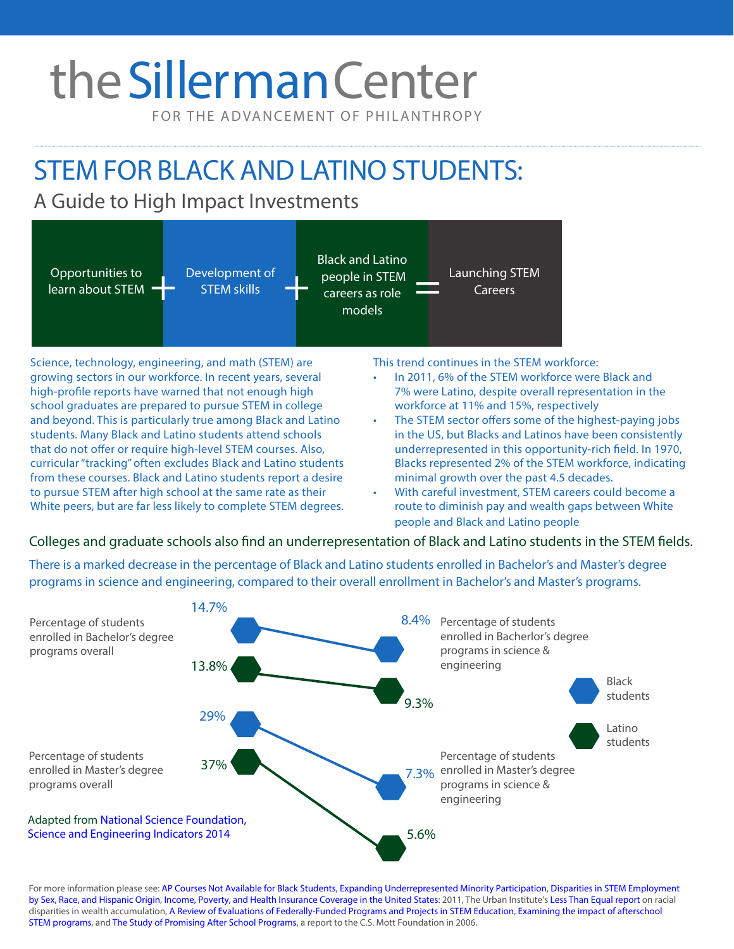# the Sillerman Center

FOR THE ADVANCEMENT OF PHILANTHROPY

# STEM FOR BLACK AND LATINO STUDENTS:

# A Guide to High Impact Investments



Science, technology, engineering, and math (STEM) are growing sectors in our workforce. In recent years, several high-profile reports have warned that not enough high school graduates are prepared to pursue STEM in college and beyond. This is particularly true among Black and Latino students. Many Black and Latino students attend schools that do not offer or require high-level STEM courses. Also, curricular "tracking" often excludes Black and Latino students from these courses. Black and Latino students report a desire to pursue STEM after high school at the same rate as their White peers, but are far less likely to complete STEM degrees.

This trend continues in the STEM workforce:

- In 2011, 6% of the STEM workforce were Black and 7% were Latino, despite overall representation in the workforce at 11% and 15%, respectively
- The STEM sector offers some of the highest-paying jobs in the US, but Blacks and Latinos have been consistently underrepresented in this opportunity-rich field. In 1970, Blacks represented 2% of the STEM workforce, indicating minimal growth over the past 4.5 decades.
- With careful investment, STEM careers could become a route to diminish pay and wealth gaps between White people and Black and Latino people

## Colleges and graduate schools also find an underrepresentation of Black and Latino students in the STEM fields.

There is a marked decrease in the percentage of Black and Latino students enrolled in Bachelor's and Master's degree programs in science and engineering, compared to their overall enrollment in Bachelor's and Master's programs.



For more information please see: [AP Courses Not Available for Black Students](http://diverseeducation.com/article/16822/), [Expanding Underrepresented Minority Participation](https://grants.nih.gov/training/minority_participation.pdf), Disparities in STEM Employment [by Sex, Race, and Hispanic Origin](http://www.census.gov/prod/2012pubs/p60-243.pdf), [Income, Poverty, and Health Insurance Coverage in the United States](http://www.census.gov/prod/2012pubs/p60-243.pdf): 2011, The Urban Institute's [Less Than Equal report](http://www.urban.org/sites/default/files/alfresco/publication-pdfs/412802-Less-Than-Equal-Racial-Disparities-in-Wealth-Accumulation.PDF) on racial disparities in wealth accumulation, [A Review of Evaluations of Federally-Funded Programs and Projects in STEM Education](http://coalition4evidence.org/wp-content/uploads/2013/08/Coalition-report-to-Academic-Competitiveness-Council-review-of-STEM-evalns-10-2006.pdf), Examining the impact of afterschool [STEM programs](http://www.afterschoolalliance.org/ExaminingtheImpactofAfterschoolSTEMPrograms.pdf), and [The Study of Promising After School Programs,](http://gseweb.oit.uci.edu/childcare/pdf/afterschool/PP%20Examination%20in%20Year%203.pdf) a report to the C.S. Mott Foundation in 2006.